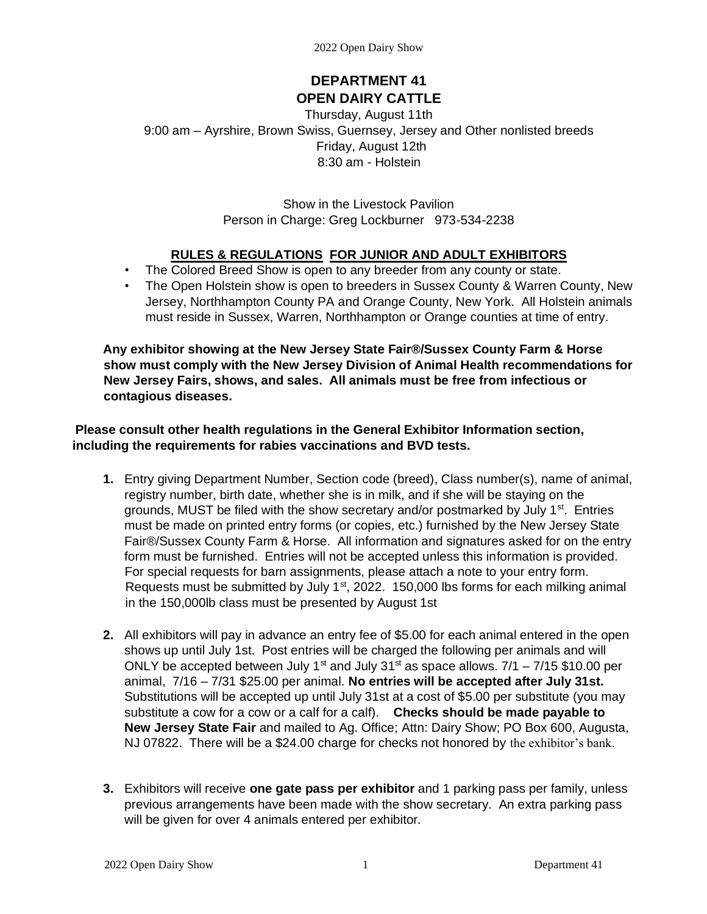# **DEPARTMENT 41 OPEN DAIRY CATTLE**

Thursday, August 11th 9:00 am – Ayrshire, Brown Swiss, Guernsey, Jersey and Other nonlisted breeds Friday, August 12th 8:30 am - Holstein

> Show in the Livestock Pavilion Person in Charge: Greg Lockburner 973-534-2238

# **RULES & REGULATIONS FOR JUNIOR AND ADULT EXHIBITORS**

- The Colored Breed Show is open to any breeder from any county or state.
- The Open Holstein show is open to breeders in Sussex County & Warren County, New Jersey, Northhampton County PA and Orange County, New York. All Holstein animals must reside in Sussex, Warren, Northhampton or Orange counties at time of entry.

**Any exhibitor showing at the New Jersey State Fair®/Sussex County Farm & Horse show must comply with the New Jersey Division of Animal Health recommendations for New Jersey Fairs, shows, and sales. All animals must be free from infectious or contagious diseases.** 

**Please consult other health regulations in the General Exhibitor Information section, including the requirements for rabies vaccinations and BVD tests.** 

- **1.** Entry giving Department Number, Section code (breed), Class number(s), name of animal, registry number, birth date, whether she is in milk, and if she will be staying on the grounds, MUST be filed with the show secretary and/or postmarked by July  $1<sup>st</sup>$ . Entries must be made on printed entry forms (or copies, etc.) furnished by the New Jersey State Fair®/Sussex County Farm & Horse. All information and signatures asked for on the entry form must be furnished. Entries will not be accepted unless this information is provided. For special requests for barn assignments, please attach a note to your entry form. Requests must be submitted by July  $1<sup>st</sup>$ , 2022. 150,000 lbs forms for each milking animal in the 150,000lb class must be presented by August 1st
- **2.** All exhibitors will pay in advance an entry fee of \$5.00 for each animal entered in the open shows up until July 1st. Post entries will be charged the following per animals and will ONLY be accepted between July 1<sup>st</sup> and July 31<sup>st</sup> as space allows.  $7/1 - 7/15$  \$10.00 per animal, 7/16 – 7/31 \$25.00 per animal. **No entries will be accepted after July 31st.** Substitutions will be accepted up until July 31st at a cost of \$5.00 per substitute (you may substitute a cow for a cow or a calf for a calf). **Checks should be made payable to New Jersey State Fair** and mailed to Ag. Office; Attn: Dairy Show; PO Box 600, Augusta, NJ 07822. There will be a \$24.00 charge for checks not honored by the exhibitor's bank.
- **3.** Exhibitors will receive **one gate pass per exhibitor** and 1 parking pass per family, unless previous arrangements have been made with the show secretary. An extra parking pass will be given for over 4 animals entered per exhibitor.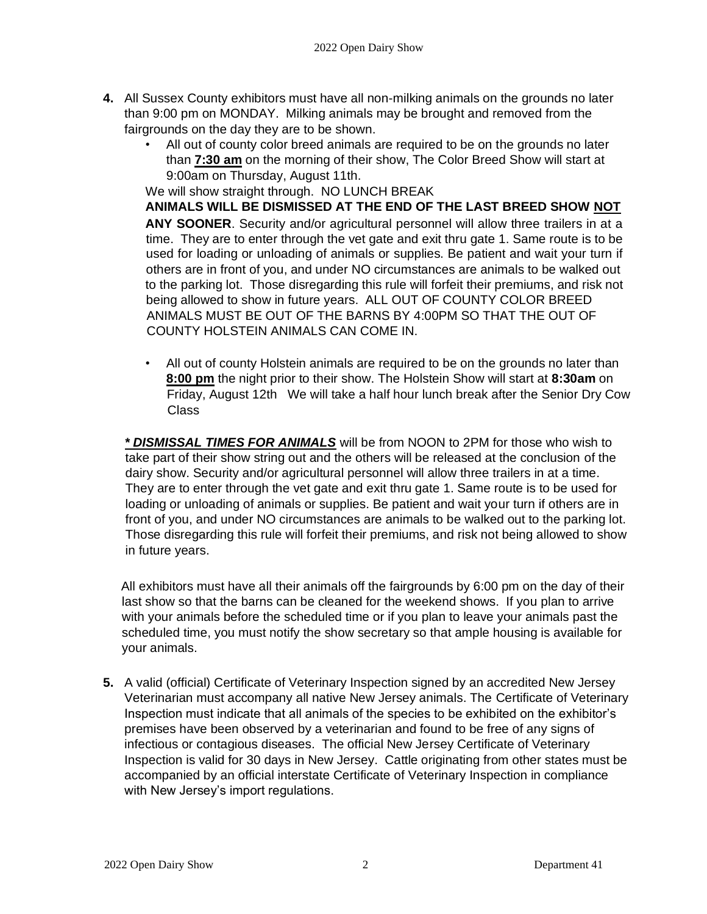- **4.** All Sussex County exhibitors must have all non-milking animals on the grounds no later than 9:00 pm on MONDAY. Milking animals may be brought and removed from the fairgrounds on the day they are to be shown.
	- All out of county color breed animals are required to be on the grounds no later than **7:30 am** on the morning of their show, The Color Breed Show will start at 9:00am on Thursday, August 11th.

We will show straight through. NO LUNCH BREAK

**ANIMALS WILL BE DISMISSED AT THE END OF THE LAST BREED SHOW NOT ANY SOONER**. Security and/or agricultural personnel will allow three trailers in at a time. They are to enter through the vet gate and exit thru gate 1. Same route is to be used for loading or unloading of animals or supplies. Be patient and wait your turn if others are in front of you, and under NO circumstances are animals to be walked out to the parking lot. Those disregarding this rule will forfeit their premiums, and risk not being allowed to show in future years. ALL OUT OF COUNTY COLOR BREED ANIMALS MUST BE OUT OF THE BARNS BY 4:00PM SO THAT THE OUT OF COUNTY HOLSTEIN ANIMALS CAN COME IN.

• All out of county Holstein animals are required to be on the grounds no later than **8:00 pm** the night prior to their show. The Holstein Show will start at **8:30am** on Friday, August 12th We will take a half hour lunch break after the Senior Dry Cow Class

*\* DISMISSAL TIMES FOR ANIMALS* will be from NOON to 2PM for those who wish to take part of their show string out and the others will be released at the conclusion of the dairy show. Security and/or agricultural personnel will allow three trailers in at a time. They are to enter through the vet gate and exit thru gate 1. Same route is to be used for loading or unloading of animals or supplies. Be patient and wait your turn if others are in front of you, and under NO circumstances are animals to be walked out to the parking lot. Those disregarding this rule will forfeit their premiums, and risk not being allowed to show in future years.

All exhibitors must have all their animals off the fairgrounds by 6:00 pm on the day of their last show so that the barns can be cleaned for the weekend shows. If you plan to arrive with your animals before the scheduled time or if you plan to leave your animals past the scheduled time, you must notify the show secretary so that ample housing is available for your animals.

**5.** A valid (official) Certificate of Veterinary Inspection signed by an accredited New Jersey Veterinarian must accompany all native New Jersey animals. The Certificate of Veterinary Inspection must indicate that all animals of the species to be exhibited on the exhibitor's premises have been observed by a veterinarian and found to be free of any signs of infectious or contagious diseases. The official New Jersey Certificate of Veterinary Inspection is valid for 30 days in New Jersey. Cattle originating from other states must be accompanied by an official interstate Certificate of Veterinary Inspection in compliance with New Jersey's import regulations.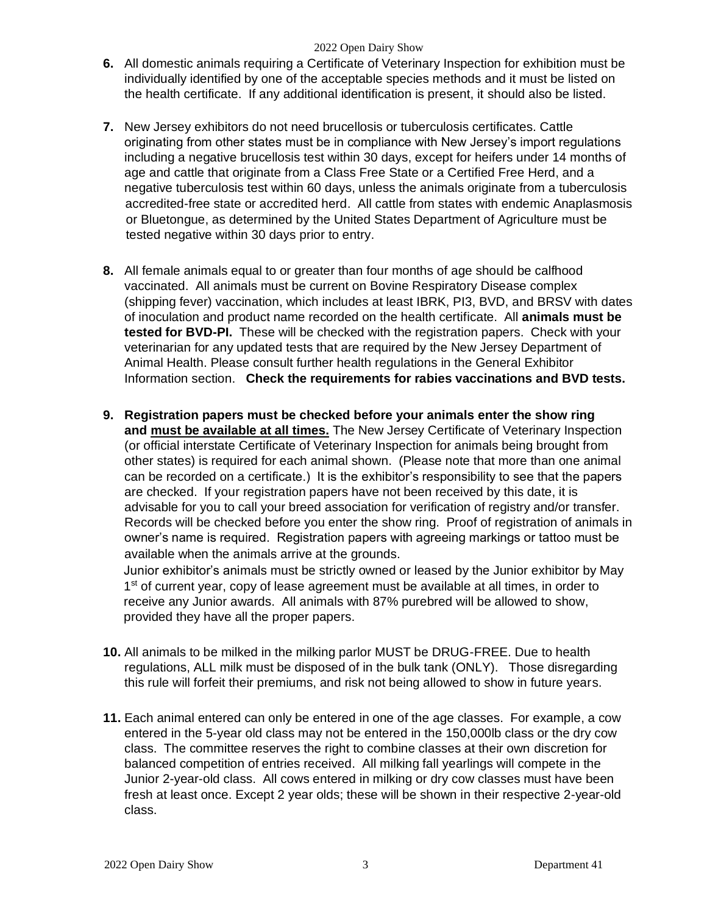- **6.** All domestic animals requiring a Certificate of Veterinary Inspection for exhibition must be individually identified by one of the acceptable species methods and it must be listed on the health certificate. If any additional identification is present, it should also be listed.
- **7.** New Jersey exhibitors do not need brucellosis or tuberculosis certificates. Cattle originating from other states must be in compliance with New Jersey's import regulations including a negative brucellosis test within 30 days, except for heifers under 14 months of age and cattle that originate from a Class Free State or a Certified Free Herd, and a negative tuberculosis test within 60 days, unless the animals originate from a tuberculosis accredited-free state or accredited herd. All cattle from states with endemic Anaplasmosis or Bluetongue, as determined by the United States Department of Agriculture must be tested negative within 30 days prior to entry.
- **8.** All female animals equal to or greater than four months of age should be calfhood vaccinated. All animals must be current on Bovine Respiratory Disease complex (shipping fever) vaccination, which includes at least IBRK, PI3, BVD, and BRSV with dates of inoculation and product name recorded on the health certificate. All **animals must be tested for BVD-PI.** These will be checked with the registration papers. Check with your veterinarian for any updated tests that are required by the New Jersey Department of Animal Health. Please consult further health regulations in the General Exhibitor Information section. **Check the requirements for rabies vaccinations and BVD tests.**
- **9. Registration papers must be checked before your animals enter the show ring and must be available at all times.** The New Jersey Certificate of Veterinary Inspection (or official interstate Certificate of Veterinary Inspection for animals being brought from other states) is required for each animal shown. (Please note that more than one animal can be recorded on a certificate.) It is the exhibitor's responsibility to see that the papers are checked. If your registration papers have not been received by this date, it is advisable for you to call your breed association for verification of registry and/or transfer. Records will be checked before you enter the show ring. Proof of registration of animals in owner's name is required. Registration papers with agreeing markings or tattoo must be available when the animals arrive at the grounds.

 Junior exhibitor's animals must be strictly owned or leased by the Junior exhibitor by May 1<sup>st</sup> of current year, copy of lease agreement must be available at all times, in order to receive any Junior awards. All animals with 87% purebred will be allowed to show, provided they have all the proper papers.

- **10.** All animals to be milked in the milking parlor MUST be DRUG-FREE. Due to health regulations, ALL milk must be disposed of in the bulk tank (ONLY). Those disregarding this rule will forfeit their premiums, and risk not being allowed to show in future years.
- **11.** Each animal entered can only be entered in one of the age classes. For example, a cow entered in the 5-year old class may not be entered in the 150,000lb class or the dry cow class. The committee reserves the right to combine classes at their own discretion for balanced competition of entries received. All milking fall yearlings will compete in the Junior 2-year-old class. All cows entered in milking or dry cow classes must have been fresh at least once. Except 2 year olds; these will be shown in their respective 2-year-old class.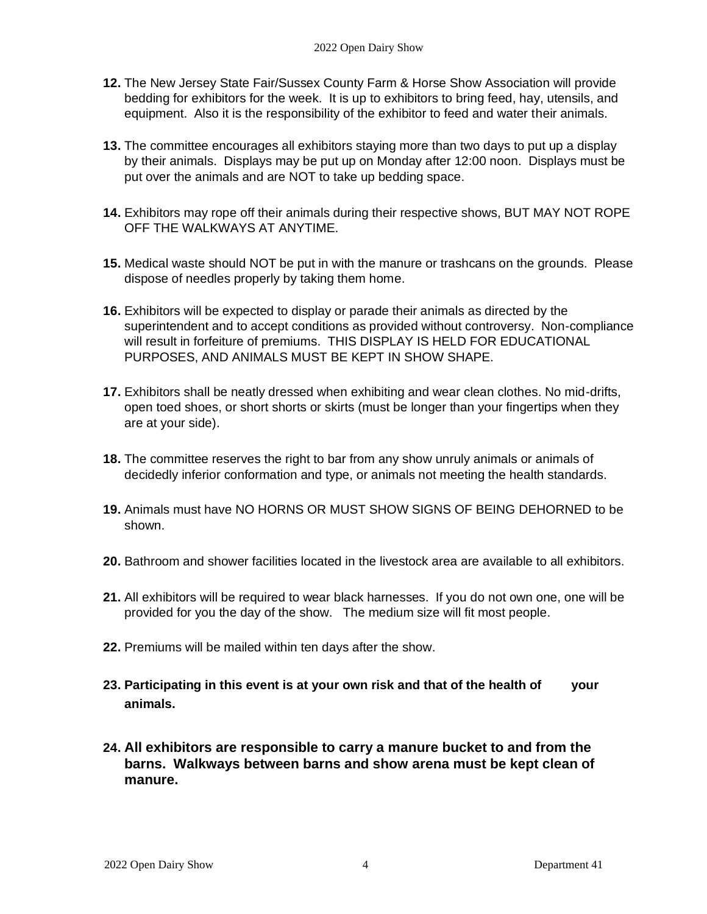- **12.** The New Jersey State Fair/Sussex County Farm & Horse Show Association will provide bedding for exhibitors for the week. It is up to exhibitors to bring feed, hay, utensils, and equipment. Also it is the responsibility of the exhibitor to feed and water their animals.
- **13.** The committee encourages all exhibitors staying more than two days to put up a display by their animals. Displays may be put up on Monday after 12:00 noon. Displays must be put over the animals and are NOT to take up bedding space.
- **14.** Exhibitors may rope off their animals during their respective shows, BUT MAY NOT ROPE OFF THE WALKWAYS AT ANYTIME.
- **15.** Medical waste should NOT be put in with the manure or trashcans on the grounds. Please dispose of needles properly by taking them home.
- **16.** Exhibitors will be expected to display or parade their animals as directed by the superintendent and to accept conditions as provided without controversy. Non-compliance will result in forfeiture of premiums. THIS DISPLAY IS HELD FOR EDUCATIONAL PURPOSES, AND ANIMALS MUST BE KEPT IN SHOW SHAPE.
- **17.** Exhibitors shall be neatly dressed when exhibiting and wear clean clothes. No mid-drifts, open toed shoes, or short shorts or skirts (must be longer than your fingertips when they are at your side).
- **18.** The committee reserves the right to bar from any show unruly animals or animals of decidedly inferior conformation and type, or animals not meeting the health standards.
- **19.** Animals must have NO HORNS OR MUST SHOW SIGNS OF BEING DEHORNED to be shown.
- **20.** Bathroom and shower facilities located in the livestock area are available to all exhibitors.
- **21.** All exhibitors will be required to wear black harnesses. If you do not own one, one will be provided for you the day of the show. The medium size will fit most people.
- **22.** Premiums will be mailed within ten days after the show.
- **23. Participating in this event is at your own risk and that of the health of your animals.**
- **24. All exhibitors are responsible to carry a manure bucket to and from the barns. Walkways between barns and show arena must be kept clean of manure.**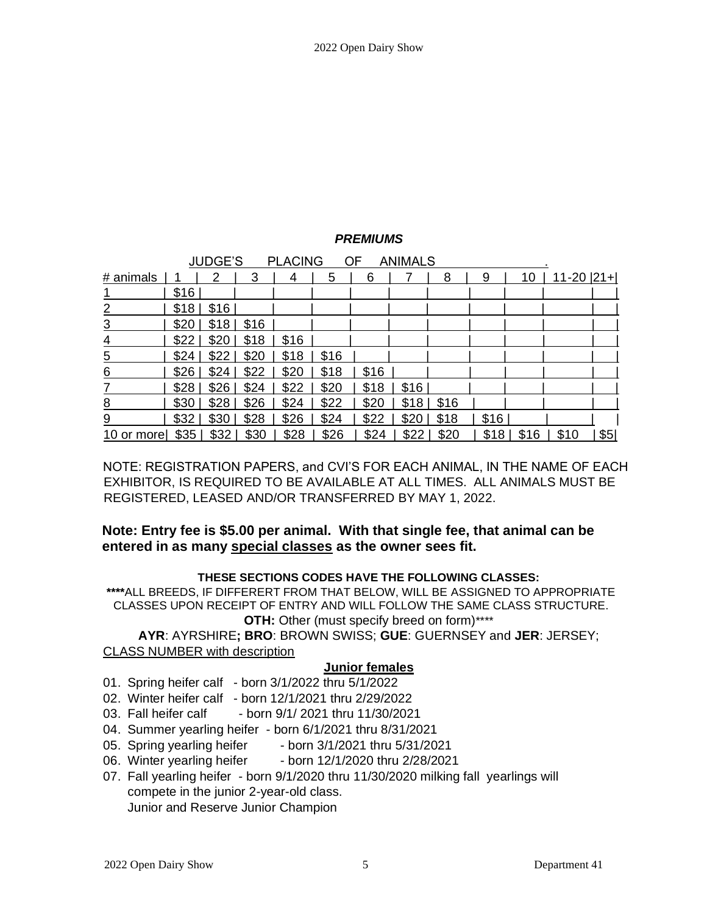# *PREMIUMS*

| <b>JUDGE'S</b><br><b>PLACING</b><br>OF<br><b>ANIMALS</b> |      |       |      |      |      |      |      |      |      |      |                 |     |
|----------------------------------------------------------|------|-------|------|------|------|------|------|------|------|------|-----------------|-----|
| # animals                                                |      | 2     | 3    | 4    | 5    | 6    |      | 8    | 9    | 10   | $11-20$ $ 21+ $ |     |
|                                                          | \$16 |       |      |      |      |      |      |      |      |      |                 |     |
| 2                                                        | \$18 | \$16  |      |      |      |      |      |      |      |      |                 |     |
| $\overline{3}$                                           | \$20 | $$18$ | \$16 |      |      |      |      |      |      |      |                 |     |
| 4                                                        | \$22 | \$20  | \$18 | \$16 |      |      |      |      |      |      |                 |     |
| $\overline{5}$                                           | \$24 | \$22  | \$20 | \$18 | \$16 |      |      |      |      |      |                 |     |
| 6                                                        | \$26 | \$24  | \$22 | \$20 | \$18 | \$16 |      |      |      |      |                 |     |
| 7                                                        | \$28 | \$26  | \$24 | \$22 | \$20 | \$18 | \$16 |      |      |      |                 |     |
| 8                                                        | \$30 | \$28  | \$26 | \$24 | \$22 | \$20 | \$18 | \$16 |      |      |                 |     |
| 9                                                        | \$32 | \$30  | \$28 | \$26 | \$24 | \$22 | \$20 | \$18 | \$16 |      |                 |     |
| 10<br>or more                                            | \$35 | \$32  | \$30 | \$28 | \$26 | \$24 | \$22 | \$20 | \$18 | \$16 | \$10            | \$5 |

NOTE: REGISTRATION PAPERS, and CVI'S FOR EACH ANIMAL, IN THE NAME OF EACH EXHIBITOR, IS REQUIRED TO BE AVAILABLE AT ALL TIMES. ALL ANIMALS MUST BE REGISTERED, LEASED AND/OR TRANSFERRED BY MAY 1, 2022.

# **Note: Entry fee is \$5.00 per animal. With that single fee, that animal can be entered in as many special classes as the owner sees fit.**

### **THESE SECTIONS CODES HAVE THE FOLLOWING CLASSES:**

**\*\*\*\***ALL BREEDS, IF DIFFERERT FROM THAT BELOW, WILL BE ASSIGNED TO APPROPRIATE CLASSES UPON RECEIPT OF ENTRY AND WILL FOLLOW THE SAME CLASS STRUCTURE. **OTH:** Other (must specify breed on form)\*\*\*\*

**AYR**: AYRSHIRE**; BRO**: BROWN SWISS; **GUE**: GUERNSEY and **JER**: JERSEY; CLASS NUMBER with description

### **Junior females**

- 01. Spring heifer calf born 3/1/2022 thru 5/1/2022
- 02. Winter heifer calf born 12/1/2021 thru 2/29/2022
- 03. Fall heifer calf born 9/1/ 2021 thru 11/30/2021
- 04. Summer yearling heifer born 6/1/2021 thru 8/31/2021
- 05. Spring yearling heifer born 3/1/2021 thru 5/31/2021
- 06. Winter yearling heifer born 12/1/2020 thru 2/28/2021
- 07. Fall yearling heifer born 9/1/2020 thru 11/30/2020 milking fall yearlings will compete in the junior 2-year-old class. Junior and Reserve Junior Champion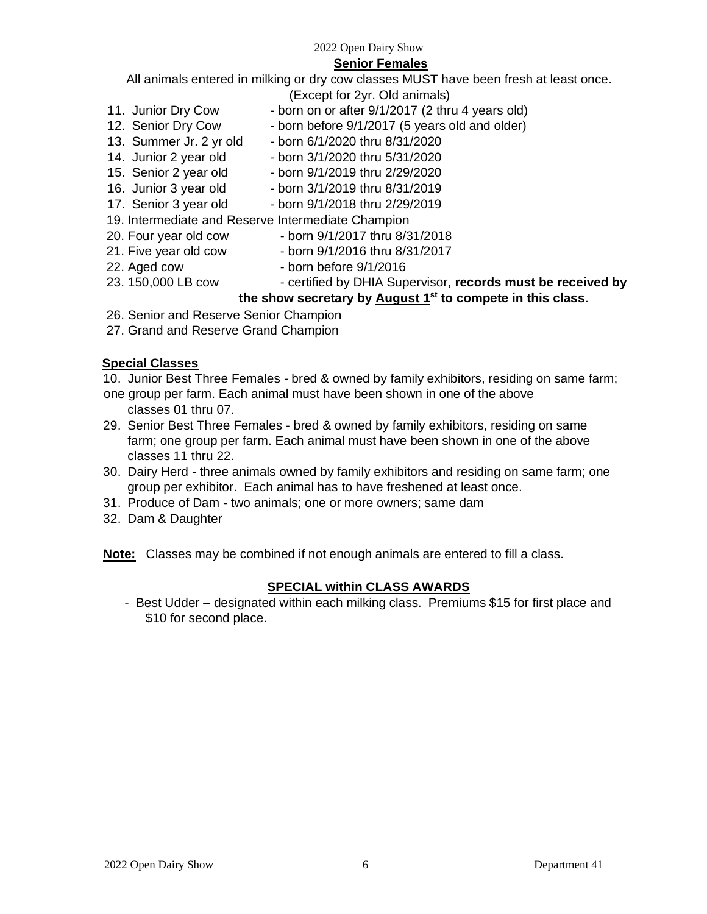### **Senior Females**

All animals entered in milking or dry cow classes MUST have been fresh at least once.

- (Except for 2yr. Old animals)
- 11. Junior Dry Cow born on or after 9/1/2017 (2 thru 4 years old)
- 12. Senior Dry Cow born before 9/1/2017 (5 years old and older)
- 13. Summer Jr. 2 yr old born 6/1/2020 thru 8/31/2020
- 14. Junior 2 year old born 3/1/2020 thru 5/31/2020
- 
- 15. Senior 2 year old born 9/1/2019 thru 2/29/2020
- 16. Junior 3 year old born 3/1/2019 thru 8/31/2019
- 17. Senior 3 year old born 9/1/2018 thru 2/29/2019
- 19. Intermediate and Reserve Intermediate Champion
- 20. Four year old cow born 9/1/2017 thru 8/31/2018
	-
- 21. Five year old cow born 9/1/2016 thru 8/31/2017
- 22. Aged cow born before  $9/1/2016$
- 
- 23. 150,000 LB cow certified by DHIA Supervisor, **records must be received by the show secretary by August 1st to compete in this class**.
- 26. Senior and Reserve Senior Champion
- 27. Grand and Reserve Grand Champion

# **Special Classes**

- 10. Junior Best Three Females bred & owned by family exhibitors, residing on same farm;
- one group per farm. Each animal must have been shown in one of the above classes 01 thru 07.
- 29. Senior Best Three Females bred & owned by family exhibitors, residing on same farm; one group per farm. Each animal must have been shown in one of the above classes 11 thru 22.
- 30. Dairy Herd three animals owned by family exhibitors and residing on same farm; one group per exhibitor. Each animal has to have freshened at least once.
- 31. Produce of Dam two animals; one or more owners; same dam
- 32. Dam & Daughter

**Note:** Classes may be combined if not enough animals are entered to fill a class.

# **SPECIAL within CLASS AWARDS**

- Best Udder – designated within each milking class. Premiums \$15 for first place and \$10 for second place.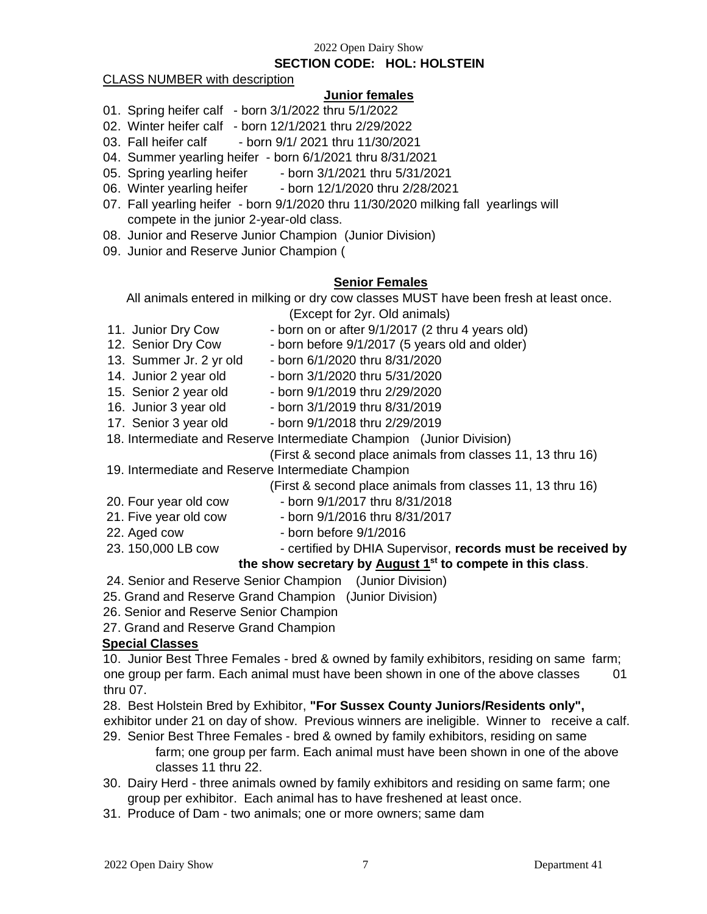### **SECTION CODE: HOL: HOLSTEIN**

### CLASS NUMBER with description

### **Junior females**

- 01. Spring heifer calf born 3/1/2022 thru 5/1/2022
- 02. Winter heifer calf born 12/1/2021 thru 2/29/2022
- 03. Fall heifer calf born 9/1/ 2021 thru 11/30/2021
- 04. Summer yearling heifer born 6/1/2021 thru 8/31/2021
- 05. Spring yearling heifer born 3/1/2021 thru 5/31/2021
- 06. Winter yearling heifer born 12/1/2020 thru 2/28/2021
- 07. Fall yearling heifer born 9/1/2020 thru 11/30/2020 milking fall yearlings will compete in the junior 2-year-old class.
- 08. Junior and Reserve Junior Champion (Junior Division)
- 09. Junior and Reserve Junior Champion (

### **Senior Females**

All animals entered in milking or dry cow classes MUST have been fresh at least once. (Except for 2yr. Old animals)

- 
- 11. Junior Dry Cow born on or after 9/1/2017 (2 thru 4 years old)
- 12. Senior Dry Cow born before 9/1/2017 (5 years old and older)
- 13. Summer Jr. 2 yr old born 6/1/2020 thru 8/31/2020
- 
- 14. Junior 2 year old born 3/1/2020 thru 5/31/2020
- 15. Senior 2 year old born 9/1/2019 thru 2/29/2020
- 16. Junior 3 year old born 3/1/2019 thru 8/31/2019
- 
- 17. Senior 3 year old born 9/1/2018 thru 2/29/2019
- 18. Intermediate and Reserve Intermediate Champion (Junior Division)

(First & second place animals from classes 11, 13 thru 16)

19. Intermediate and Reserve Intermediate Champion

(First & second place animals from classes 11, 13 thru 16)

- 
- 20. Four year old cow born 9/1/2017 thru 8/31/2018
- 21. Five year old cow born 9/1/2016 thru 8/31/2017
- 22. Aged cow born before  $9/1/2016$
- 

# 23. 150,000 LB cow - certified by DHIA Supervisor, **records must be received by**

# **the show secretary by August 1st to compete in this class**.

- 24. Senior and Reserve Senior Champion (Junior Division)
- 25. Grand and Reserve Grand Champion (Junior Division)
- 26. Senior and Reserve Senior Champion
- 27. Grand and Reserve Grand Champion

### **Special Classes**

10. Junior Best Three Females - bred & owned by family exhibitors, residing on same farm; one group per farm. Each animal must have been shown in one of the above classes 01 thru 07.

28. Best Holstein Bred by Exhibitor, **"For Sussex County Juniors/Residents only",** 

- exhibitor under 21 on day of show. Previous winners are ineligible. Winner to receive a calf.
- 29. Senior Best Three Females bred & owned by family exhibitors, residing on same farm; one group per farm. Each animal must have been shown in one of the above classes 11 thru 22.
- 30. Dairy Herd three animals owned by family exhibitors and residing on same farm; one group per exhibitor. Each animal has to have freshened at least once.
- 31. Produce of Dam two animals; one or more owners; same dam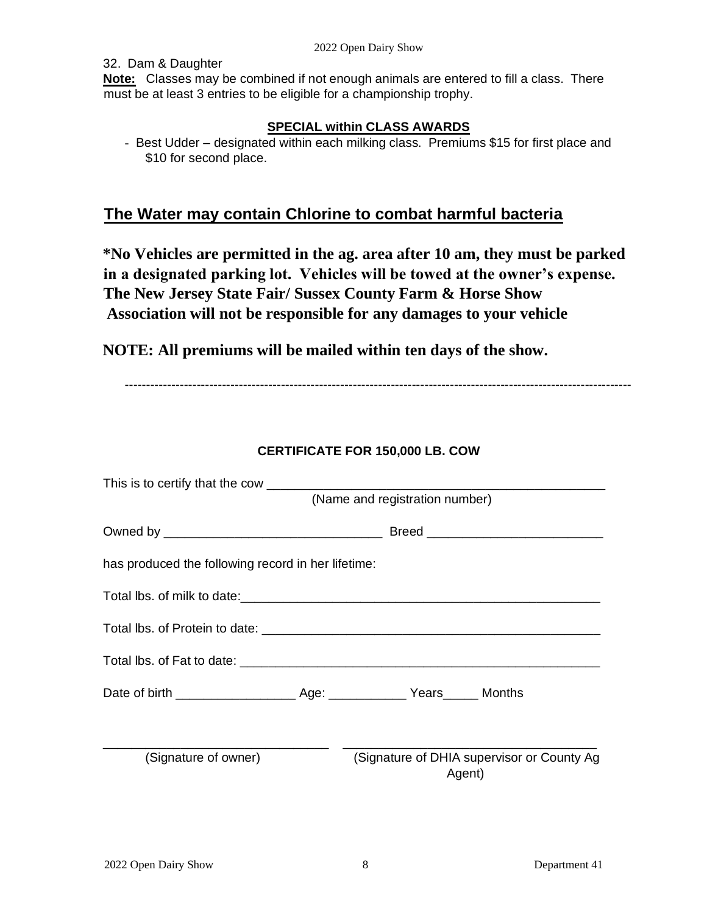32. Dam & Daughter

**Note:** Classes may be combined if not enough animals are entered to fill a class. There must be at least 3 entries to be eligible for a championship trophy.

# **SPECIAL within CLASS AWARDS**

- Best Udder – designated within each milking class. Premiums \$15 for first place and \$10 for second place.

# **The Water may contain Chlorine to combat harmful bacteria**

**\*No Vehicles are permitted in the ag. area after 10 am, they must be parked in a designated parking lot. Vehicles will be towed at the owner's expense. The New Jersey State Fair/ Sussex County Farm & Horse Show Association will not be responsible for any damages to your vehicle** 

**NOTE: All premiums will be mailed within ten days of the show.** 

------------------------------------------------------------------------------------------------------------------------

| This is to certify that the cow ______________     |                                |                                            |  |  |  |  |
|----------------------------------------------------|--------------------------------|--------------------------------------------|--|--|--|--|
|                                                    | (Name and registration number) |                                            |  |  |  |  |
|                                                    |                                |                                            |  |  |  |  |
| has produced the following record in her lifetime: |                                |                                            |  |  |  |  |
|                                                    |                                |                                            |  |  |  |  |
|                                                    |                                |                                            |  |  |  |  |
|                                                    |                                |                                            |  |  |  |  |
|                                                    |                                |                                            |  |  |  |  |
| (Signature of owner)                               | Agent)                         | (Signature of DHIA supervisor or County Ag |  |  |  |  |

# **CERTIFICATE FOR 150,000 LB. COW**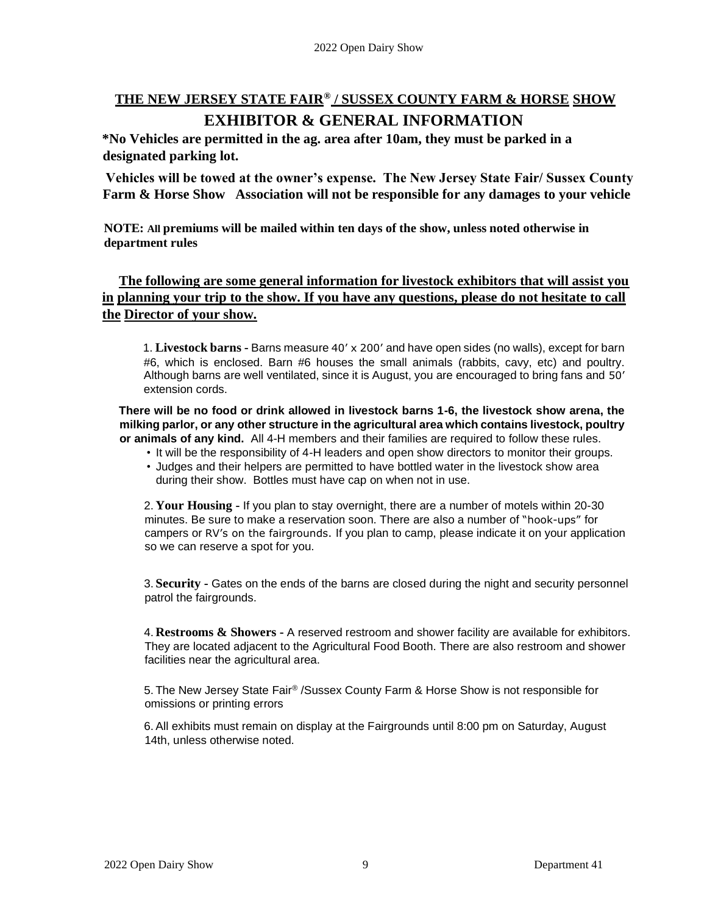# **THE NEW JERSEY STATE FAIR® / SUSSEX COUNTY FARM & HORSE SHOW EXHIBITOR & GENERAL INFORMATION**

**\*No Vehicles are permitted in the ag. area after 10am, they must be parked in a designated parking lot.** 

**Vehicles will be towed at the owner's expense. The New Jersey State Fair/ Sussex County Farm & Horse Show Association will not be responsible for any damages to your vehicle** 

**NOTE: All premiums will be mailed within ten days of the show, unless noted otherwise in department rules** 

**The following are some general information for livestock exhibitors that will assist you in planning your trip to the show. If you have any questions, please do not hesitate to call the Director of your show.** 

1. **Livestock barns -** Barns measure 40' x 200' and have open sides (no walls), except for barn #6, which is enclosed. Barn #6 houses the small animals (rabbits, cavy, etc) and poultry. Although barns are well ventilated, since it is August, you are encouraged to bring fans and 50' extension cords.

**There will be no food or drink allowed in livestock barns 1-6, the livestock show arena, the milking parlor, or any other structure in the agricultural area which contains livestock, poultry or animals of any kind.** All 4-H members and their families are required to follow these rules.

- It will be the responsibility of 4-H leaders and open show directors to monitor their groups.
- Judges and their helpers are permitted to have bottled water in the livestock show area during their show. Bottles must have cap on when not in use.

2. **Your Housing -** If you plan to stay overnight, there are a number of motels within 20-30 minutes. Be sure to make a reservation soon. There are also a number of "hook-ups" for campers or RV's on the fairgrounds. If you plan to camp, please indicate it on your application so we can reserve a spot for you.

3. **Security -** Gates on the ends of the barns are closed during the night and security personnel patrol the fairgrounds.

4. **Restrooms & Showers -** A reserved restroom and shower facility are available for exhibitors. They are located adjacent to the Agricultural Food Booth. There are also restroom and shower facilities near the agricultural area.

5. The New Jersey State Fair® /Sussex County Farm & Horse Show is not responsible for omissions or printing errors

6. All exhibits must remain on display at the Fairgrounds until 8:00 pm on Saturday, August 14th, unless otherwise noted.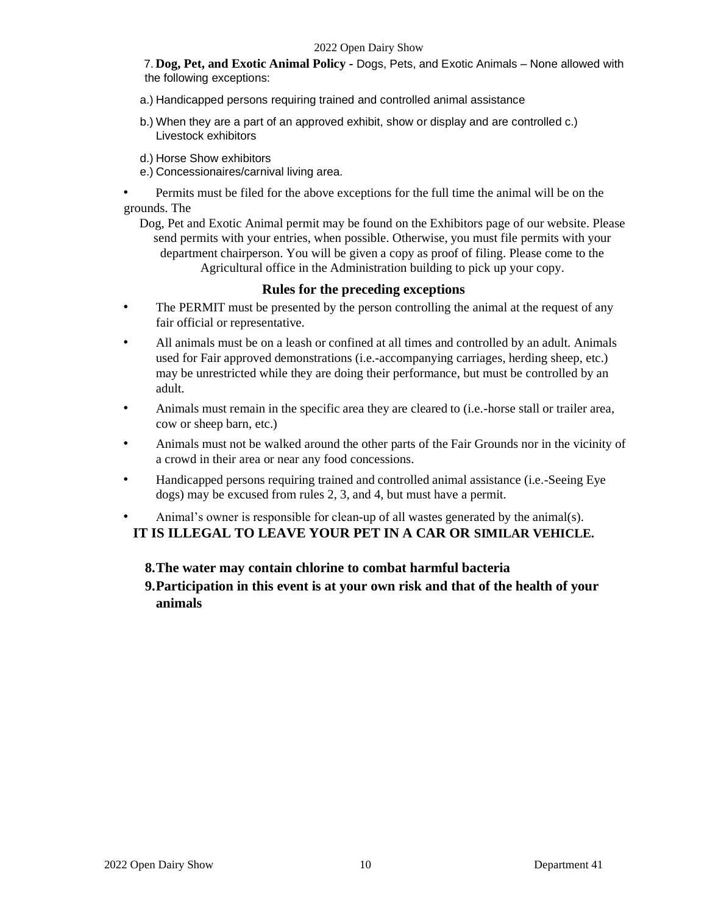7. **Dog, Pet, and Exotic Animal Policy -** Dogs, Pets, and Exotic Animals – None allowed with the following exceptions:

- a.) Handicapped persons requiring trained and controlled animal assistance
- b.) When they are a part of an approved exhibit, show or display and are controlled c.) Livestock exhibitors
- d.) Horse Show exhibitors
- e.) Concessionaires/carnival living area.
- Permits must be filed for the above exceptions for the full time the animal will be on the grounds. The
	- Dog, Pet and Exotic Animal permit may be found on the Exhibitors page of our website. Please send permits with your entries, when possible. Otherwise, you must file permits with your department chairperson. You will be given a copy as proof of filing. Please come to the Agricultural office in the Administration building to pick up your copy.

### **Rules for the preceding exceptions**

- The PERMIT must be presented by the person controlling the animal at the request of any fair official or representative.
- All animals must be on a leash or confined at all times and controlled by an adult. Animals used for Fair approved demonstrations (i.e.-accompanying carriages, herding sheep, etc.) may be unrestricted while they are doing their performance, but must be controlled by an adult.
- Animals must remain in the specific area they are cleared to (i.e.-horse stall or trailer area, cow or sheep barn, etc.)
- Animals must not be walked around the other parts of the Fair Grounds nor in the vicinity of a crowd in their area or near any food concessions.
- Handicapped persons requiring trained and controlled animal assistance (i.e.-Seeing Eye dogs) may be excused from rules 2, 3, and 4, but must have a permit.

• Animal's owner is responsible for clean-up of all wastes generated by the animal(s). **IT IS ILLEGAL TO LEAVE YOUR PET IN A CAR OR SIMILAR VEHICLE.** 

### **8.The water may contain chlorine to combat harmful bacteria**

**9.Participation in this event is at your own risk and that of the health of your animals**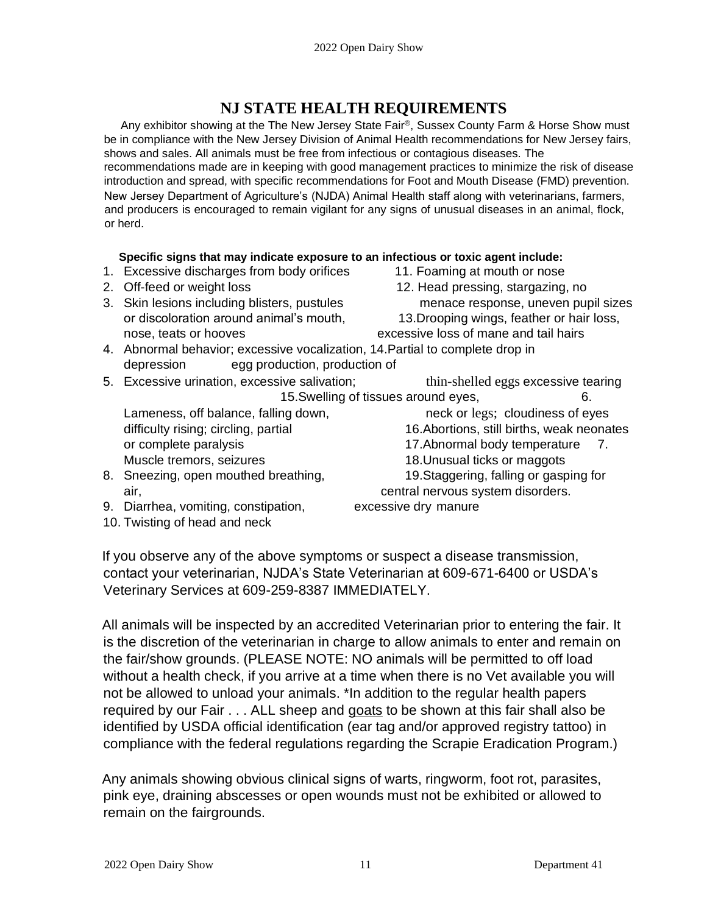# **NJ STATE HEALTH REQUIREMENTS**

Any exhibitor showing at the The New Jersey State Fair®, Sussex County Farm & Horse Show must be in compliance with the New Jersey Division of Animal Health recommendations for New Jersey fairs, shows and sales. All animals must be free from infectious or contagious diseases. The recommendations made are in keeping with good management practices to minimize the risk of disease introduction and spread, with specific recommendations for Foot and Mouth Disease (FMD) prevention. New Jersey Department of Agriculture's (NJDA) Animal Health staff along with veterinarians, farmers, and producers is encouraged to remain vigilant for any signs of unusual diseases in an animal, flock, or herd.

### **Specific signs that may indicate exposure to an infectious or toxic agent include:**

- 1. Excessive discharges from body orifices 11. Foaming at mouth or nose
- 
- nose, teats or hooves excessive loss of mane and tail hairs
- 
- 2. Off-feed or weight loss 12. Head pressing, stargazing, no 3. Skin lesions including blisters, pustules menace response, uneven pupil sizes or discoloration around animal's mouth, 13.Drooping wings, feather or hair loss,
- 4. Abnormal behavior; excessive vocalization, 14.Partial to complete drop in depression egg production, production of
- 5. Excessive urination, excessive salivation; thin-shelled eggs excessive tearing

Muscle tremors, seizures 18.Unusual ticks or maggots

- 8. Sneezing, open mouthed breathing, 19.Staggering, falling or gasping for air, central nervous system disorders.
- 9. Diarrhea, vomiting, constipation, excessive dry manure
- 10. Twisting of head and neck

15. Swelling of tissues around eyes, 6.

Lameness, off balance, falling down, heck or legs; cloudiness of eyes difficulty rising; circling, partial 16.Abortions, still births, weak neonates or complete paralysis 17.Abnormal body temperature 7.

If you observe any of the above symptoms or suspect a disease transmission, contact your veterinarian, NJDA's State Veterinarian at 609-671-6400 or USDA's Veterinary Services at 609-259-8387 IMMEDIATELY.

All animals will be inspected by an accredited Veterinarian prior to entering the fair. It is the discretion of the veterinarian in charge to allow animals to enter and remain on the fair/show grounds. (PLEASE NOTE: NO animals will be permitted to off load without a health check, if you arrive at a time when there is no Vet available you will not be allowed to unload your animals. \*In addition to the regular health papers required by our Fair . . . ALL sheep and goats to be shown at this fair shall also be identified by USDA official identification (ear tag and/or approved registry tattoo) in compliance with the federal regulations regarding the Scrapie Eradication Program.)

Any animals showing obvious clinical signs of warts, ringworm, foot rot, parasites, pink eye, draining abscesses or open wounds must not be exhibited or allowed to remain on the fairgrounds.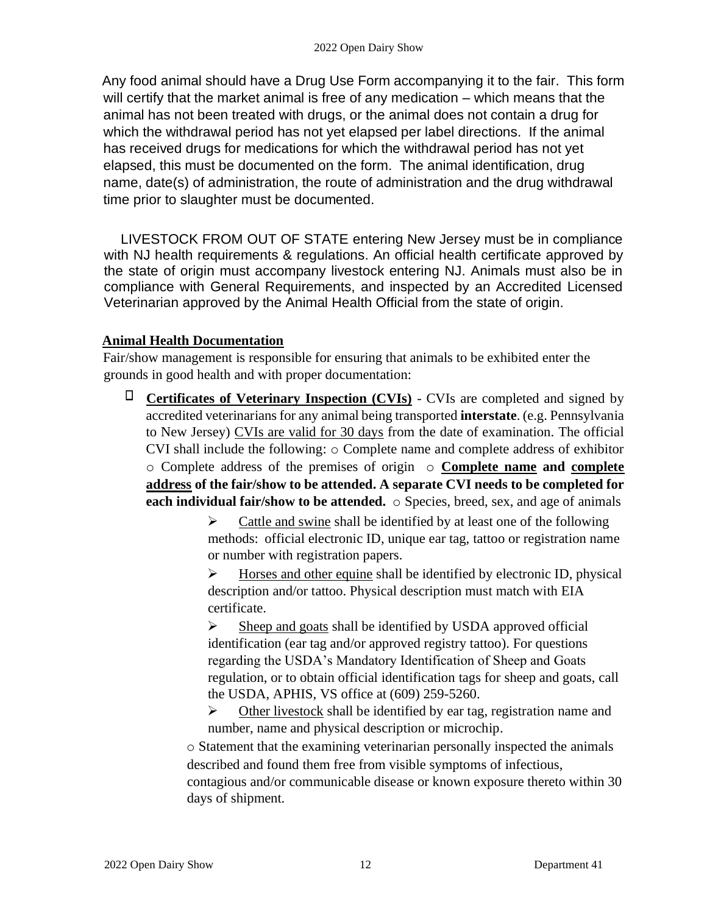Any food animal should have a Drug Use Form accompanying it to the fair. This form will certify that the market animal is free of any medication – which means that the animal has not been treated with drugs, or the animal does not contain a drug for which the withdrawal period has not yet elapsed per label directions. If the animal has received drugs for medications for which the withdrawal period has not yet elapsed, this must be documented on the form. The animal identification, drug name, date(s) of administration, the route of administration and the drug withdrawal time prior to slaughter must be documented.

LIVESTOCK FROM OUT OF STATE entering New Jersey must be in compliance with NJ health requirements & regulations. An official health certificate approved by the state of origin must accompany livestock entering NJ. Animals must also be in compliance with General Requirements, and inspected by an Accredited Licensed Veterinarian approved by the Animal Health Official from the state of origin.

# **Animal Health Documentation**

Fair/show management is responsible for ensuring that animals to be exhibited enter the grounds in good health and with proper documentation:

**Certificates of Veterinary Inspection (CVIs)** - CVIs are completed and signed by accredited veterinarians for any animal being transported **interstate**. (e.g. Pennsylvania to New Jersey) CVIs are valid for 30 days from the date of examination. The official CVI shall include the following: o Complete name and complete address of exhibitor o Complete address of the premises of origin o **Complete name and complete address of the fair/show to be attended. A separate CVI needs to be completed for each individual fair/show to be attended.** o Species, breed, sex, and age of animals

> $\triangleright$  Cattle and swine shall be identified by at least one of the following methods: official electronic ID, unique ear tag, tattoo or registration name or number with registration papers.

> ➢ Horses and other equine shall be identified by electronic ID, physical description and/or tattoo. Physical description must match with EIA certificate.

> ➢ Sheep and goats shall be identified by USDA approved official identification (ear tag and/or approved registry tattoo). For questions regarding the USDA's Mandatory Identification of Sheep and Goats regulation, or to obtain official identification tags for sheep and goats, call the USDA, APHIS, VS office at (609) 259-5260.

➢ Other livestock shall be identified by ear tag, registration name and number, name and physical description or microchip.

o Statement that the examining veterinarian personally inspected the animals described and found them free from visible symptoms of infectious, contagious and/or communicable disease or known exposure thereto within 30 days of shipment.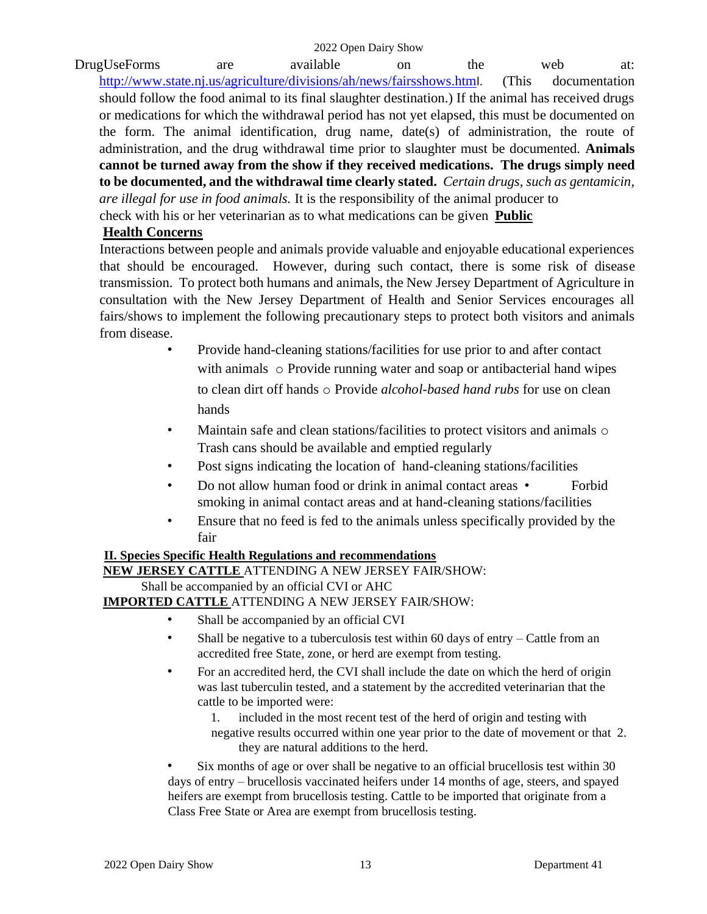DrugUseForms are available on the web at: [http://www.state.nj.us/agriculture/divisions/ah/news/fairsshows.htm](http://www.state.nj.us/agriculture/divisions/ah/news/fairsshows.html)[l.](http://www.state.nj.us/agriculture/divisions/ah/news/fairsshows.html) (This documentation should follow the food animal to its final slaughter destination.) If the animal has received drugs or medications for which the withdrawal period has not yet elapsed, this must be documented on the form. The animal identification, drug name, date(s) of administration, the route of administration, and the drug withdrawal time prior to slaughter must be documented. **Animals cannot be turned away from the show if they received medications. The drugs simply need to be documented, and the withdrawal time clearly stated.** *Certain drugs, such as gentamicin, are illegal for use in food animals.* It is the responsibility of the animal producer to check with his or her veterinarian as to what medications can be given **Public** 

### **Health Concerns**

Interactions between people and animals provide valuable and enjoyable educational experiences that should be encouraged. However, during such contact, there is some risk of disease transmission. To protect both humans and animals, the New Jersey Department of Agriculture in consultation with the New Jersey Department of Health and Senior Services encourages all fairs/shows to implement the following precautionary steps to protect both visitors and animals from disease.

- Provide hand-cleaning stations/facilities for use prior to and after contact with animals o Provide running water and soap or antibacterial hand wipes to clean dirt off hands o Provide *alcohol-based hand rubs* for use on clean hands
- Maintain safe and clean stations/facilities to protect visitors and animals  $\circ$ Trash cans should be available and emptied regularly
- Post signs indicating the location of hand-cleaning stations/facilities
- Do not allow human food or drink in animal contact areas Forbid smoking in animal contact areas and at hand-cleaning stations/facilities
- Ensure that no feed is fed to the animals unless specifically provided by the fair

# **II. Species Specific Health Regulations and recommendations**

**NEW JERSEY CATTLE** ATTENDING A NEW JERSEY FAIR/SHOW:

Shall be accompanied by an official CVI or AHC

**IMPORTED CATTLE** ATTENDING A NEW JERSEY FAIR/SHOW:

- Shall be accompanied by an official CVI
- Shall be negative to a tuberculosis test within 60 days of entry Cattle from an accredited free State, zone, or herd are exempt from testing.
- For an accredited herd, the CVI shall include the date on which the herd of origin was last tuberculin tested, and a statement by the accredited veterinarian that the cattle to be imported were:
	- 1. included in the most recent test of the herd of origin and testing with negative results occurred within one year prior to the date of movement or that 2. they are natural additions to the herd.

• Six months of age or over shall be negative to an official brucellosis test within 30 days of entry – brucellosis vaccinated heifers under 14 months of age, steers, and spayed heifers are exempt from brucellosis testing. Cattle to be imported that originate from a Class Free State or Area are exempt from brucellosis testing.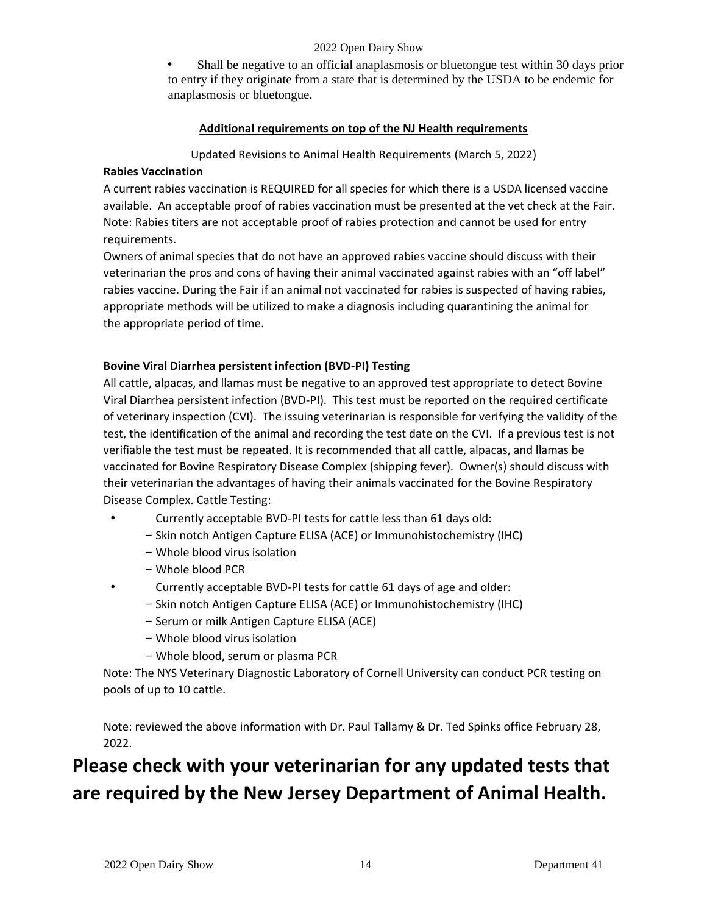• Shall be negative to an official anaplasmosis or bluetongue test within 30 days prior to entry if they originate from a state that is determined by the USDA to be endemic for anaplasmosis or bluetongue.

### **Additional requirements on top of the NJ Health requirements**

Updated Revisions to Animal Health Requirements (March 5, 2022)

### **Rabies Vaccination**

A current rabies vaccination is REQUIRED for all species for which there is a USDA licensed vaccine available. An acceptable proof of rabies vaccination must be presented at the vet check at the Fair. Note: Rabies titers are not acceptable proof of rabies protection and cannot be used for entry requirements.

Owners of animal species that do not have an approved rabies vaccine should discuss with their veterinarian the pros and cons of having their animal vaccinated against rabies with an "off label" rabies vaccine. During the Fair if an animal not vaccinated for rabies is suspected of having rabies, appropriate methods will be utilized to make a diagnosis including quarantining the animal for the appropriate period of time.

### **Bovine Viral Diarrhea persistent infection (BVD-PI) Testing**

All cattle, alpacas, and llamas must be negative to an approved test appropriate to detect Bovine Viral Diarrhea persistent infection (BVD-PI). This test must be reported on the required certificate of veterinary inspection (CVI). The issuing veterinarian is responsible for verifying the validity of the test, the identification of the animal and recording the test date on the CVI. If a previous test is not verifiable the test must be repeated. It is recommended that all cattle, alpacas, and llamas be vaccinated for Bovine Respiratory Disease Complex (shipping fever). Owner(s) should discuss with their veterinarian the advantages of having their animals vaccinated for the Bovine Respiratory Disease Complex. Cattle Testing:

- Currently acceptable BVD-PI tests for cattle less than 61 days old:
	- Skin notch Antigen Capture ELISA (ACE) or Immunohistochemistry (IHC)
	- Whole blood virus isolation
	- Whole blood PCR
- Currently acceptable BVD-PI tests for cattle 61 days of age and older:
	- Skin notch Antigen Capture ELISA (ACE) or Immunohistochemistry (IHC)
	- Serum or milk Antigen Capture ELISA (ACE)
	- Whole blood virus isolation
	- Whole blood, serum or plasma PCR

Note: The NYS Veterinary Diagnostic Laboratory of Cornell University can conduct PCR testing on pools of up to 10 cattle.

Note: reviewed the above information with Dr. Paul Tallamy & Dr. Ted Spinks office February 28, 2022.

# **Please check with your veterinarian for any updated tests that are required by the New Jersey Department of Animal Health.**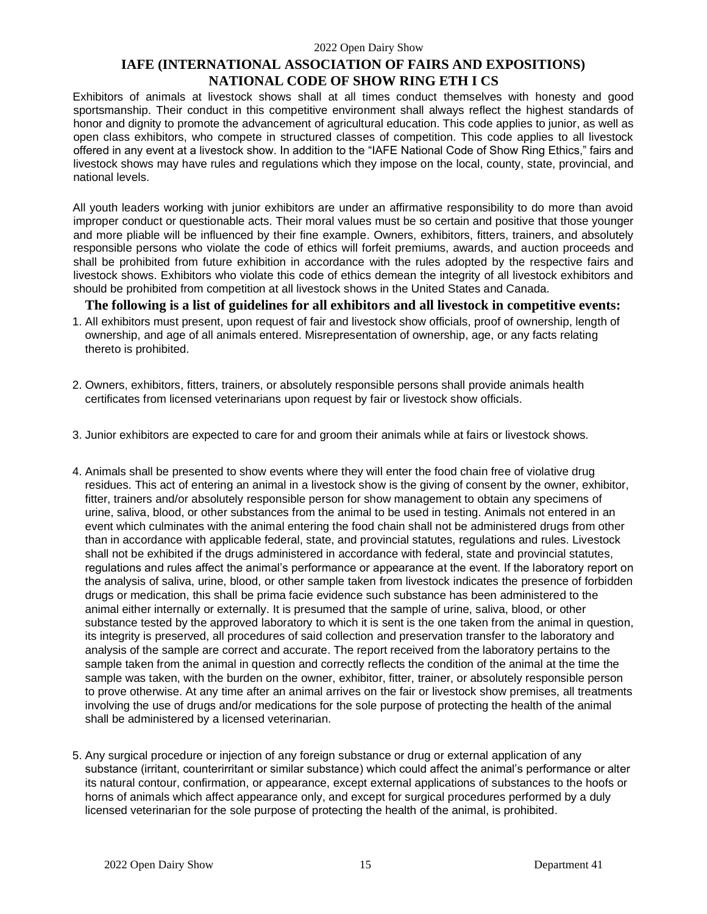## **IAFE (INTERNATIONAL ASSOCIATION OF FAIRS AND EXPOSITIONS) NATIONAL CODE OF SHOW RING ETH I CS**

Exhibitors of animals at livestock shows shall at all times conduct themselves with honesty and good sportsmanship. Their conduct in this competitive environment shall always reflect the highest standards of honor and dignity to promote the advancement of agricultural education. This code applies to junior, as well as open class exhibitors, who compete in structured classes of competition. This code applies to all livestock offered in any event at a livestock show. In addition to the "IAFE National Code of Show Ring Ethics," fairs and livestock shows may have rules and regulations which they impose on the local, county, state, provincial, and national levels.

All youth leaders working with junior exhibitors are under an affirmative responsibility to do more than avoid improper conduct or questionable acts. Their moral values must be so certain and positive that those younger and more pliable will be influenced by their fine example. Owners, exhibitors, fitters, trainers, and absolutely responsible persons who violate the code of ethics will forfeit premiums, awards, and auction proceeds and shall be prohibited from future exhibition in accordance with the rules adopted by the respective fairs and livestock shows. Exhibitors who violate this code of ethics demean the integrity of all livestock exhibitors and should be prohibited from competition at all livestock shows in the United States and Canada.

**The following is a list of guidelines for all exhibitors and all livestock in competitive events:** 

- 1. All exhibitors must present, upon request of fair and livestock show officials, proof of ownership, length of ownership, and age of all animals entered. Misrepresentation of ownership, age, or any facts relating thereto is prohibited.
- 2. Owners, exhibitors, fitters, trainers, or absolutely responsible persons shall provide animals health certificates from licensed veterinarians upon request by fair or livestock show officials.
- 3. Junior exhibitors are expected to care for and groom their animals while at fairs or livestock shows.
- 4. Animals shall be presented to show events where they will enter the food chain free of violative drug residues. This act of entering an animal in a livestock show is the giving of consent by the owner, exhibitor, fitter, trainers and/or absolutely responsible person for show management to obtain any specimens of urine, saliva, blood, or other substances from the animal to be used in testing. Animals not entered in an event which culminates with the animal entering the food chain shall not be administered drugs from other than in accordance with applicable federal, state, and provincial statutes, regulations and rules. Livestock shall not be exhibited if the drugs administered in accordance with federal, state and provincial statutes, regulations and rules affect the animal's performance or appearance at the event. If the laboratory report on the analysis of saliva, urine, blood, or other sample taken from livestock indicates the presence of forbidden drugs or medication, this shall be prima facie evidence such substance has been administered to the animal either internally or externally. It is presumed that the sample of urine, saliva, blood, or other substance tested by the approved laboratory to which it is sent is the one taken from the animal in question, its integrity is preserved, all procedures of said collection and preservation transfer to the laboratory and analysis of the sample are correct and accurate. The report received from the laboratory pertains to the sample taken from the animal in question and correctly reflects the condition of the animal at the time the sample was taken, with the burden on the owner, exhibitor, fitter, trainer, or absolutely responsible person to prove otherwise. At any time after an animal arrives on the fair or livestock show premises, all treatments involving the use of drugs and/or medications for the sole purpose of protecting the health of the animal shall be administered by a licensed veterinarian.
- 5. Any surgical procedure or injection of any foreign substance or drug or external application of any substance (irritant, counterirritant or similar substance) which could affect the animal's performance or alter its natural contour, confirmation, or appearance, except external applications of substances to the hoofs or horns of animals which affect appearance only, and except for surgical procedures performed by a duly licensed veterinarian for the sole purpose of protecting the health of the animal, is prohibited.